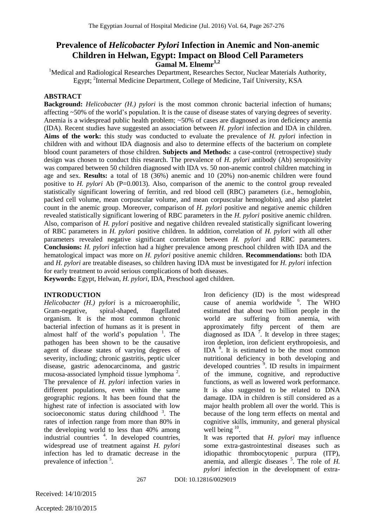# **Prevalence of** *Helicobacter Pylori* **Infection in Anemic and Non-anemic Children in Helwan, Egypt: Impact on Blood Cell Parameters Gamal M. Elnemr1,2**

<sup>1</sup>Medical and Radiological Researches Department, Researches Sector, Nuclear Materials Authority, Egypt; <sup>2</sup>Internal Medicine Department, College of Medicine, Taif University, KSA

### **ABSTRACT**

**Background:** *Helicobacter (H.) pylori* is the most common chronic bacterial infection of humans; affecting ~50% of the world's population. It is the cause of disease states of varying degrees of severity. Anemia is a widespread public health problem; ~50% of cases are diagnosed as iron deficiency anemia (IDA). Recent studies have suggested an association between *H. pylori* infection and IDA in children. **Aims of the work:** this study was conducted to evaluate the prevalence of *H. pylori* infection in children with and without IDA diagnosis and also to determine effects of the bacterium on complete blood count parameters of those children. **Subjects and Methods:** a case-control (retrospective) study design was chosen to conduct this research. The prevalence of *H. pylori* antibody (Ab) seropositivity was compared between 50 children diagnosed with IDA vs. 50 non-anemic control children matching in age and sex. **Results:** a total of 18 (36%) anemic and 10 (20%) non-anemic children were found positive to *H. pylori* Ab (P=0.0013). Also, comparison of the anemic to the control group revealed statistically significant lowering of ferritin, and red blood cell (RBC) parameters (i.e., hemoglobin, packed cell volume, mean corpuscular volume, and mean corpuscular hemoglobin), and also platelet count in the anemic group. Moreover, comparison of *H. pylori* positive and negative anemic children revealed statistically significant lowering of RBC parameters in the *H. pylori* positive anemic children. Also, comparison of *H. pylori* positive and negative children revealed statistically significant lowering of RBC parameters in *H. pylori* positive children. In addition, correlation of *H. pylori* with all other parameters revealed negative significant correlation between *H. pylori* and RBC parameters. **Conclusions:** *H. pylori* infection had a higher prevalence among preschool children with IDA and the hematological impact was more on *H. pylori* positive anemic children. **Recommendations:** both IDA and *H. pylori* are treatable diseases, so children having IDA must be investigated for *H. pylori* infection for early treatment to avoid serious complications of both diseases.

**Keywords:** Egypt, Helwan, *H. pylori*, IDA, Preschool aged children.

### **INTRODUCTION**

*Helicobacter (H.) pylori* is a microaerophilic, Gram-negative, spiral-shaped, flagellated organism. It is the most common chronic bacterial infection of humans as it is present in almost half of the world's population  $\frac{1}{1}$ . The pathogen has been shown to be the causative agent of disease states of varying degrees of severity, including; chronic gastritis, peptic ulcer disease, gastric adenocarcinoma, and gastric mucosa-associated lymphoid tissue lymphoma<sup>2</sup>. The prevalence of *H. pylori* infection varies in different populations, even within the same geographic regions. It has been found that the highest rate of infection is associated with low socioeconomic status during childhood  $3$ . The rates of infection range from more than 80% in the developing world to less than 40% among industrial countries <sup>4</sup>. In developed countries, widespread use of treatment against *H. pylori* infection has led to dramatic decrease in the prevalence of infection<sup>5</sup>.

Iron deficiency (ID) is the most widespread cause of anemia worldwide <sup>6</sup>. The WHO estimated that about two billion people in the world are suffering from anemia, with approximately fifty percent of them are diagnosed as IDA  $\overline{7}$ . It develop in three stages; iron depletion, iron deficient erythropoiesis, and IDA <sup>8</sup> . It is estimated to be the most common nutritional deficiency in both developing and developed countries  $\frac{9}{9}$ . ID results in impairment of the immune, cognitive, and reproductive functions, as well as lowered work performance. It is also suggested to be related to DNA damage. IDA in children is still considered as a major health problem all over the world. This is because of the long term effects on mental and cognitive skills, immunity, and general physical well being <sup>10</sup>.

It was reported that *H. pylori* may influence some extra-gastrointestinal diseases such as idiopathic thrombocytopenic purpura (ITP), anemia, and allergic diseases <sup>5</sup>. The role of *H*. *pylori* infection in the development of extra-

267 DOI: 10.12816/0029019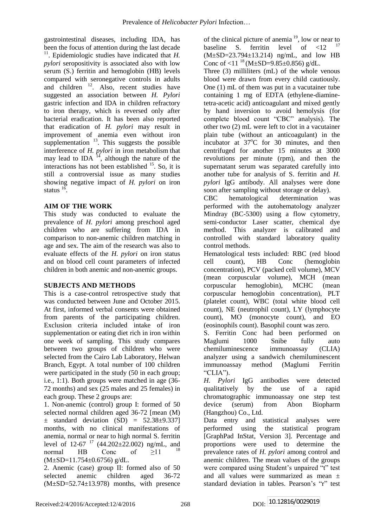gastrointestinal diseases, including IDA, has been the focus of attention during the last decade  $11$ . Epidemiologic studies have indicated that *H*. *pylori* seropositivity is associated also with low serum (S.) ferritin and hemoglobin (HB) levels compared with seronegative controls in adults and children  $12$ . Also, recent studies have suggested an association between *H. Pylori* gastric infection and IDA in children refractory to iron therapy, which is reversed only after bacterial eradication. It has been also reported that eradication of *H. pylori* may result in improvement of anemia even without iron supplementation  $13$ . This suggests the possible interference of *H. pylori* in iron metabolism that may lead to IDA  $^{14}$ , although the nature of the interactions has not been established  $15$ . So, it is still a controversial issue as many studies showing negative impact of *H. pylori* on iron status  $^{16}$ .

## **AIM OF THE WORK**

This study was conducted to evaluate the prevalence of *H. pylori* among preschool aged children who are suffering from IDA in comparison to non-anemic children matching in age and sex. The aim of the research was also to evaluate effects of the *H. pylori* on iron status and on blood cell count parameters of infected children in both anemic and non-anemic groups.

# **SUBJECTS AND METHODS**

This is a case-control retrospective study that was conducted between June and October 2015. At first, informed verbal consents were obtained from parents of the participating children. Exclusion criteria included intake of iron supplementation or eating diet rich in iron within one week of sampling. This study compares between two groups of children who were selected from the Cairo Lab Laboratory, Helwan Branch, Egypt. A total number of 100 children were participated in the study (50 in each group; i.e., 1:1). Both groups were matched in age (36- 72 months) and sex (25 males and 25 females) in each group. These 2 groups are:

1. Non-anemic (control) group I: formed of 50 selected normal children aged 36-72 [mean (M)  $\pm$  standard deviation (SD) = 52.38 $\pm$ 9.337] months, with no clinical manifestations of anemia, normal or near to high normal S. ferritin level of  $12-67$   $^{17}$  (44.202 $\pm$ 22.002) ng/mL, and normal HB Conc of  $\geq 11$  <sup>18</sup> (M±SD=11.754±0.6756) g/dL.

2. Anemic (case) group II: formed also of 50 selected anemic children aged 36-72  $(M\pm SD=52.74\pm 13.978)$  months, with presence

of the clinical picture of anemia  $19$ , low or near to baseline S. ferritin level of  $\langle 12 \rangle$ (M±SD=23.794±13.214) ng/mL, and low HB Conc of  $\langle 11^{18} (M \pm SD = 9.85 \pm 0.856)$  g/dL.

Three (3) milliliters (mL) of the whole venous blood were drawn from every child cautiously. One (1) mL of them was put in a vacutainer tube containing 1 mg of EDTA (ethylene-diaminetetra-acetic acid) anticoagulant and mixed gently by hand inversion to avoid hemolysis (for complete blood count "CBC" analysis). The other two (2) mL were left to clot in a vacutainer plain tube (without an anticoagulant) in the incubator at  $37^{\circ}$ C for 30 minutes, and then centrifuged for another 15 minutes at 3000 revolutions per minute (rpm), and then the supernatant serum was separated carefully into another tube for analysis of S. ferritin and *H. pylori* IgG antibody. All analyses were done soon after sampling without storage or delay).

CBC hematological determination was performed with the autohematology analyzer Mindray (BC-5300) using a flow cytometry, semi-conductor Laser scatter, chemical dye method. This analyzer is calibrated and controlled with standard laboratory quality control methods.

Hematological tests included: RBC (red blood cell count), HB Conc (hemoglobin concentration), PCV (packed cell volume), MCV (mean corpuscular volume), MCH (mean corpuscular hemoglobin), MCHC (mean corpuscular hemoglobin concentration), PLT (platelet count), WBC (total white blood cell count), NE (neutrophil count), LY (lymphocyte count), MO (monocyte count), and EO (eosinophils count). Basophil count was zero.

S. Ferritin Conc had been performed on Maglumi 1000 Snibe fully auto chemiluminescence immunoassay (CLIA) analyzer using a sandwich chemiluminescent immunoassay method (Maglumi Ferritin "CLIA").

*H. Pylori* IgG antibodies were detected qualitatively by the use of a rapid chromatographic immunoassay one step test device (serum) from Abon Biopharm (Hangzhou) Co., Ltd.

Data entry and statistical analyses were performed using the statistical program [GraphPad InStat, Version 3]. Percentage and proportions were used to determine the prevalence rates of *H. pylori* among control and anemic children. The mean values of the groups were compared using Student's unpaired "t" test and all values were summarized as mean ± standard deviation in tables. Pearson's "r" test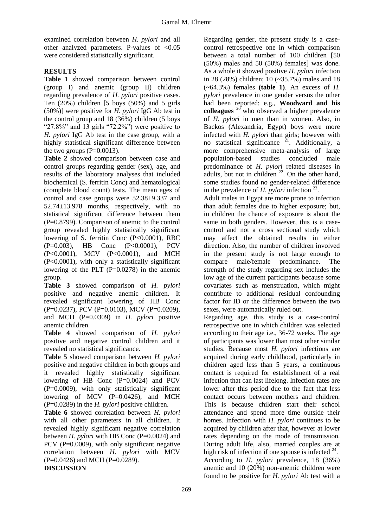examined correlation between *H. pylori* and all other analyzed parameters. P-values of <0.05 were considered statistically significant.

# **RESULTS**

**Table 1** showed comparison between control (group I) and anemic (group II) children regarding prevalence of *H. pylori* positive cases. Ten (20%) children [5 boys (50%) and 5 girls (50%)] were positive for *H. pylori* IgG Ab test in the control group and 18 (36%) children (5 boys "27.8%" and 13 girls "72.2%") were positive to *H. pylori* IgG Ab test in the case group, with a highly statistical significant difference between the two groups  $(P=0.0013)$ .

**Table 2** showed comparison between case and control groups regarding gender (sex), age, and results of the laboratory analyses that included biochemical (S. ferritin Conc) and hematological (complete blood count) tests. The mean ages of control and case groups were 52.38±9.337 and 52.74±13.978 months, respectively, with no statistical significant difference between them (P=0.8799). Comparison of anemic to the control group revealed highly statistically significant lowering of S. ferritin Conc (P<0.0001), RBC (P=0.003), HB Conc (P<0.0001), PCV (P<0.0001), MCV (P<0.0001), and MCH (P<0.0001), with only a statistically significant lowering of the PLT (P=0.0278) in the anemic group.

**Table 3** showed comparison of *H. pylori* positive and negative anemic children. It revealed significant lowering of HB Conc (P=0.0237), PCV (P=0.0103), MCV (P=0.0209), and MCH (P=0.0309) in *H. pylori* positive anemic children.

**Table 4** showed comparison of *H. pylori* positive and negative control children and it revealed no statistical significance.

**Table 5** showed comparison between *H. pylori* positive and negative children in both groups and it revealed highly statistically significant lowering of HB Conc (P=0.0024) and PCV  $(P=0.0009)$ , with only statistically significant lowering of MCV (P=0.0426), and MCH (P=0.0289) in the *H. pylori* positive children.

**Table 6** showed correlation between *H. pylori* with all other parameters in all children. It revealed highly significant negative correlation between *H. pylori* with HB Conc (P=0.0024) and PCV (P=0.0009), with only significant negative correlation between *H. pylori* with MCV (P=0.0426) and MCH (P=0.0289).

**DISCUSSION**

Regarding gender, the present study is a casecontrol retrospective one in which comparison between a total number of 100 children [50 (50%) males and 50 (50%) females] was done. As a whole it showed positive *H. pylori* infection in 28 (28%) children; 10 (~35.7%) males and 18 (~64.3%) females **(table 1)**. An excess of *H. pylori* prevalence in one gender versus the other had been reported; e.g., **Woodward and his colleagues** <sup>20</sup> who observed a higher prevalence of *H. pylori* in men than in women. Also, in Backos (Alexandria, Egypt) boys were more infected with *H. pylori* than girls; however with no statistical significance  $^{21}$ . Additionally, a more comprehensive meta-analysis of large population-based studies concluded male predominance of *H. pylori* related diseases in adults, but not in children  $^{22}$ . On the other hand, some studies found no gender-related difference in the prevalence of  $H$ . *pylori* infection  $^{23}$ .

Adult males in Egypt are more prone to infection than adult females due to higher exposure; but, in children the chance of exposure is about the same in both genders. However, this is a casecontrol and not a cross sectional study which may affect the obtained results in either direction. Also, the number of children involved in the present study is not large enough to compare male/female predominance. The strength of the study regarding sex includes the low age of the current participants because some covariates such as menstruation, which might contribute to additional residual confounding factor for ID or the difference between the two sexes, were automatically ruled out.

Regarding age, this study is a case-control retrospective one in which children was selected according to their age i.e., 36-72 weeks. The age of participants was lower than most other similar studies. Because most *H. pylori* infections are acquired during early childhood, particularly in children aged less than 5 years, a continuous contact is required for establishment of a real infection that can last lifelong. Infection rates are lower after this period due to the fact that less contact occurs between mothers and children. This is because children start their school attendance and spend more time outside their homes. Infection with *H. pylori* continues to be acquired by children after that, however at lower rates depending on the mode of transmission. During adult life, also, married couples are at high risk of infection if one spouse is infected  $24$ . According to *H. pylori* prevalence, 18 (36%) anemic and 10 (20%) non-anemic children were found to be positive for *H. pylori* Ab test with a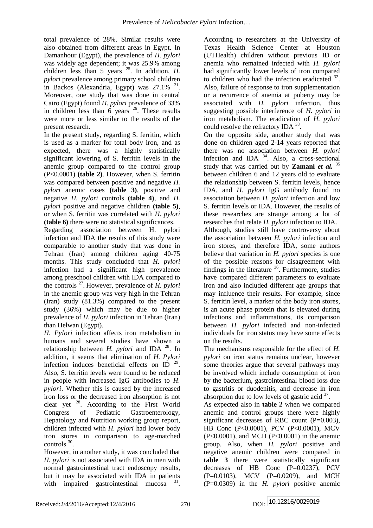total prevalence of 28%. Similar results were also obtained from different areas in Egypt. In Damanhour (Egypt), the prevalence of *H. pylori* was widely age dependent; it was 25.9% among children less than 5 years  $^{25}$ . In addition, *H*. *pylori* prevalence among primary school children in Backos (Alexandria, Egypt) was  $27.1\%$ <sup>21</sup>. Moreover, one study that was done in central Cairo (Egypt) found *H. pylori* prevalence of 33% in children less than  $\vec{6}$  years  $^{26}$ . These results were more or less similar to the results of the present research.

In the present study, regarding S. ferritin, which is used as a marker for total body iron, and as expected, there was a highly statistically significant lowering of S. ferritin levels in the anemic group compared to the control group (P<0.0001) **(table 2)**. However, when S. ferritin was compared between positive and negative *H. pylori* anemic cases **(table 3)**, positive and negative *H. pylori* controls **(table 4)**, and *H. pylori* positive and negative children **(table 5)**, or when S. ferritin was correlated with *H. pylori* **(table 6)** there were no statistical significances.

Regarding association between H. pylori infection and IDA the results of this study were comparable to another study that was done in Tehran (Iran) among children aging 40-75 months. This study concluded that *H. pylori* infection had a significant high prevalence among preschool children with IDA compared to the controls  $^{27}$ . However, prevalence of  $\hat{H}$ . *pylori* in the anemic group was very high in the Tehran (Iran) study (81.3%) compared to the present study (36%) which may be due to higher prevalence of *H. pylori* infection in Tehran (Iran) than Helwan (Egypt).

*H. Pylori* infection affects iron metabolism in humans and several studies have shown a relationship between *H. pylori* and IDA<sup>28</sup>. In addition, it seems that elimination of *H. Pylori* infection induces beneficial effects on ID  $^{29}$ . Also, S. ferritin levels were found to be reduced in people with increased IgG antibodies to *H. pylori*. Whether this is caused by the increased iron loss or the decreased iron absorption is not clear yet <sup>28</sup>. According to the First World Congress of Pediatric Gastroenterology, Hepatology and Nutrition working group report, children infected with *H. pylori* had lower body iron stores in comparison to age-matched  $controls<sup>30</sup>$ .

However, in another study, it was concluded that *H. pylori* is not associated with IDA in men with normal gastrointestinal tract endoscopy results, but it may be associated with IDA in patients with impaired gastrointestinal mucosa  $31$ .

According to researchers at the University of Texas Health Science Center at Houston (UTHealth) children without previous ID or anemia who remained infected with *H. pylori* had significantly lower levels of iron compared to children who had the infection eradicated  $32$ . Also, failure of response to iron supplementation or a recurrence of anemia at puberty may be associated with *H. pylori* infection, thus suggesting possible interference of *H. pylori* in iron metabolism. The eradication of *H. pylori* could resolve the refractory IDA 33. On the opposite side, another study that was done on children aged 2-14 years reported that there was no association between *H. pylori* infection and IDA <sup>34</sup>. Also, a cross-sectional study that was carried out by **Zamani** *et al.* <sup>35</sup> between children 6 and 12 years old to evaluate the relationship between S. ferritin levels, hence IDA, and *H. pylori* IgG antibody found no association between *H. pylori* infection and low

researches that relate *H. pylori* infection to IDA. Although, studies still have controversy about the association between *H. pylori* infection and iron stores, and therefore IDA, some authors believe that variation in *H. pylori* species is one of the possible reasons for disagreement with findings in the literature  $36$ . Furthermore, studies have compared different parameters to evaluate iron and also included different age groups that may influence their results. For example, since S. ferritin level, a marker of the body iron stores, is an acute phase protein that is elevated during infections and inflammations, its comparison between *H. pylori* infected and non-infected individuals for iron status may have some effects on the results.

S. ferritin levels or IDA. However, the results of these researches are strange among a lot of

The mechanisms responsible for the effect of *H. pylori* on iron status remains unclear, however some theories argue that several pathways may be involved which include consumption of iron by the bacterium, gastrointestinal blood loss due to gastritis or duodenitis, and decrease in iron absorption due to low levels of gastric acid  $37$ .

As expected also in **table 2** when we compared anemic and control groups there were highly significant decreases of RBC count  $(P=0.003)$ , HB Conc (P<0.0001), PCV (P<0.0001), MCV (P<0.0001), and MCH (P<0.0001) in the anemic group. Also, when *H. pylori* positive and negative anemic children were compared in **table 3** there were statistically significant decreases of HB Conc (P=0.0237), PCV (P=0.0103), MCV (P=0.0209), and MCH (P=0.0309) in the *H. pylori* positive anemic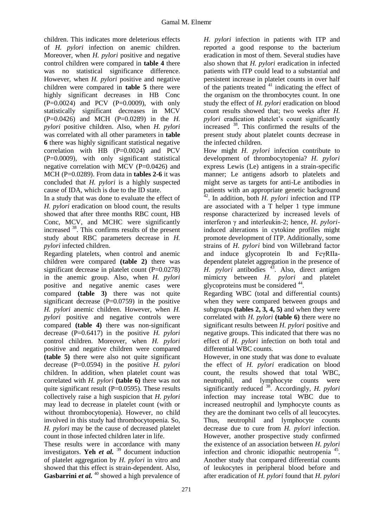children. This indicates more deleterious effects of *H. pylori* infection on anemic children. Moreover, when *H. pylori* positive and negative control children were compared in **table 4** there was no statistical significance difference. However, when *H. pylori* positive and negative children were compared in **table 5** there were highly significant decreases in HB Conc  $(P=0.0024)$  and PCV  $(P=0.0009)$ , with only statistically significant decreases in MCV (P=0.0426) and MCH (P=0.0289) in the *H. pylori* positive children. Also, when *H. pylori* was correlated with all other parameters in **table 6** there was highly significant statistical negative correlation with HB (P=0.0024) and PCV (P=0.0009), with only significant statistical negative correlation with MCV (P=0.0426) and MCH (P=0.0289). From data in **tables 2-6** it was concluded that *H. pylori* is a highly suspected cause of IDA, which is due to the ID state.

In a study that was done to evaluate the effect of *H. pylori* eradication on blood count, the results showed that after three months RBC count, HB Conc, MCV, and MCHC were significantly increased <sup>38</sup> . This confirms results of the present study about RBC parameters decrease in *H. pylori* infected children.

Regarding platelets, when control and anemic children were compared **(table 2)** there was significant decrease in platelet count (P=0.0278) in the anemic group. Also, when *H. pylori* positive and negative anemic cases were compared **(table 3)** there was not quite significant decrease  $(P=0.0759)$  in the positive *H. pylori* anemic children. However, when *H. pylori* positive and negative controls were compared **(table 4)** there was non-significant decrease (P=0.6417) in the positive *H. pylori* control children. Moreover, when *H. pylori* positive and negative children were compared **(table 5)** there were also not quite significant decrease (P=0.0594) in the positive *H. pylori* children. In addition, when platelet count was correlated with *H. pylori* **(table 6)** there was not quite significant result  $(P=0.0595)$ . These results collectively raise a high suspicion that *H. pylori* may lead to decrease in platelet count (with or without thrombocytopenia). However, no child involved in this study had thrombocytopenia. So, *H. pylori* may be the cause of decreased platelet count in those infected children later in life.

These results were in accordance with many investigators. **Yeh** *et al.* <sup>39</sup> document induction of platelet aggregation by *H. pylori* in vitro and showed that this effect is strain-dependent. Also, Gasbarrini *et al.* <sup>40</sup> showed a high prevalence of

*H. pylori* infection in patients with ITP and reported a good response to the bacterium eradication in most of them. Several studies have also shown that *H. pylori* eradication in infected patients with ITP could lead to a substantial and persistent increase in platelet counts in over half of the patients treated  $41$  indicating the effect of the organism on the thrombocytes count. In one study the effect of *H. pylori* eradication on blood count results showed that; two weeks after *H. pylori* eradication platelet's count significantly increased <sup>38</sup>. This confirmed the results of the present study about platelet counts decrease in the infected children.

How might *H. pylori* infection contribute to development of thrombocytopenia? *H. pylori* express Lewis (Le) antigens in a strain-specific manner; Le antigens adsorb to platelets and might serve as targets for anti-Le antibodies in patients with an appropriate genetic background  $^{2}$ . In addition, both *H. pylori* infection and ITP are associated with a T helper 1 type immune response characterized by increased levels of interferon γ and interleukin-2; hence, *H. pylori*induced alterations in cytokine profiles might promote development of ITP. Additionally, some strains of *H. pylori* bind von Willebrand factor and induce glycoprotein Ib and FcγRIIadependent platelet aggregation in the presence of *H. pylori* antibodies <sup>43</sup>. Also, direct antigen mimicry between *H. pylori* and platelet glycoproteins must be considered <sup>44</sup>.

Regarding WBC (total and differential counts) when they were compared between groups and subgroups **(tables 2, 3, 4, 5)** and when they were correlated with *H. pylori* **(table 6)** there were no significant results between *H. pylori* positive and negative groups. This indicated that there was no effect of *H. pylori* infection on both total and differential WBC counts.

However, in one study that was done to evaluate the effect of *H. pylori* eradication on blood count, the results showed that total WBC, neutrophil, and lymphocyte counts were significantly reduced <sup>38</sup> . Accordingly, *H. pylori* infection may increase total WBC due to increased neutrophil and lymphocyte counts as they are the dominant two cells of all leucocytes. Thus, neutrophil and lymphocyte counts decrease due to cure from *H. pylori* infection. However, another prospective study confirmed the existence of an association between *H. pylori* infection and chronic idiopathic neutropenia <sup>45</sup>. Another study that compared differential counts of leukocytes in peripheral blood before and after eradication of *H. pylori* found that *H. pylori*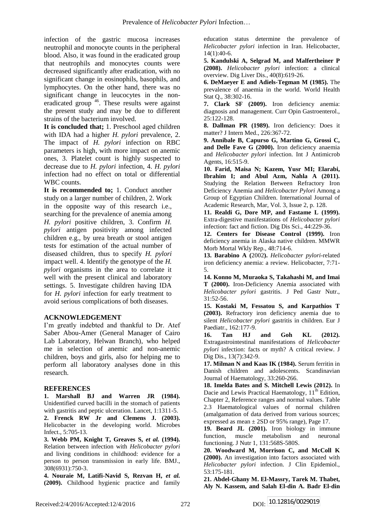infection of the gastric mucosa increases neutrophil and monocyte counts in the peripheral blood. Also, it was found in the eradicated group that neutrophils and monocytes counts were decreased significantly after eradication, with no significant change in eosinophils, basophils, and lymphocytes. On the other hand, there was no significant change in leucocytes in the noneradicated group <sup>46</sup>. These results were against the present study and may be due to different strains of the bacterium involved.

**It is concluded that;** 1. Preschool aged children with IDA had a higher *H. pylori* prevalence, 2. The impact of *H. pylori* infection on RBC parameters is high, with more impact on anemic ones, 3. Platelet count is highly suspected to decrease due to *H. pylori* infection, 4. *H. pylori* infection had no effect on total or differential WBC counts.

**It is recommended to;** 1. Conduct another study on a larger number of children, 2. Work in the opposite way of this research i.e., searching for the prevalence of anemia among *H. pylori* positive children, 3. Confirm *H. pylori* antigen positivity among infected children e.g., by urea breath or stool antigen tests for estimation of the actual number of diseased children, thus to specify *H. pylori* impact well. 4. Identify the genotype of the *H. pylori* organisms in the area to correlate it well with the present clinical and laboratory settings. 5. Investigate children having IDA for *H. pylori* infection for early treatment to avoid serious complications of both diseases.

### **ACKNOWLEDGEMENT**

I'm greatly indebted and thankful to Dr. Atef Saber Abou-Amer (General Manager of Cairo Lab Laboratory, Helwan Branch), who helped me in selection of anemic and non-anemic children, boys and girls, also for helping me to perform all laboratory analyses done in this research.

#### **REFERENCES**

**1. Marshall BJ and Warren JR (1984).** Unidentified curved bacilli in the stomach of patients with gastritis and peptic ulceration. Lancet, 1:1311-5. **2. Frenck RW Jr and Clemens J. (2003).** Helicobacter in the developing world. Microbes

Infect., 5:705-13. **3. Webb PM, Knight T, Greaves S,** *et al.* **(1994).** Relation between infection with *Helicobacter pylori* and living conditions in childhood: evidence for a person to person transmission in early life. BMJ., 308(6931):750-3.

**4. Nouraie M, Latifi-Navid S, Rezvan H,** *et al.* **(2009).** Childhood hygienic practice and family education status determine the prevalence of *Helicobacter pylori* infection in Iran. Helicobacter,  $14(1):40-6.$ 

**5. Kandulski A, Selgrad M, and Malfertheiner P (2008).** *Helicobacter pylori* infection: a clinical overview. Dig Liver Dis., 40(8):619-26.

**6. DeMaeyer E and Adiels-Tegman M (1985).** The prevalence of anaemia in the world. World Health Stat Q., 38:302-16.

**7. Clark SF (2009).** Iron deficiency anemia: diagnosis and management. Curr Opin Gastroenterol., 25:122-128.

**8. Dallman PR (1989).** Iron deficiency: Does it matter? J Intern Med., 226:367-72.

**9. Annibale B, Capurso G, Martino G, Grossi C, and Delle Fave G (2000).** Iron deficiency anaemia and *Helicobacter pylori* infection. Int J Antimicrob Agents, 16:515-9.

**10. Farid, Maisa N; Kazem, Yusr MI; Elarabi, Ibrahim I; and Abul Azm, Nahla A (2011).** Studying the Relation Between Refractory Iron Deficiency Anemia and *Helicobacter Pylori* Among a Group of Egyptian Children. International Journal of Academic Research, Mar, Vol. 3, Issue 2, p. 128.

**11. Realdi G, Dore MP, and Fastame L (1999).** Extra-digestive manifestations of *Helicobacter pylori* infection: fact and fiction. Dig Dis Sci., 44:229-36.

**12. Centers for Disease Control (1999).** Iron deficiency anemia in Alaska native children. MMWR Morb Mortal Wkly Rep., 48:714-6.

**13. Barabino A (**2002**).** *Helicobacter pylori*-related iron deficiency anemia: a review. Helicobacter, 7:71- 5.

**14. Konno M, Muraoka S, Takahashi M, and Imai T (2000).** Iron-Deficiency Anemia associated with *Helicobacter pylori* gastritis. J Ped Gastr Nutr., 31:52-56.

**15. Kostaki M, Fessatou S, and Karpathios T (2003).** Refractory iron deficiency anemia due to silent *Helicobacter pylori* gastritis in children. Eur J Paediatr., 162:177-9.

**16. Tan HJ and Goh KL (2012).** Extragastrointestinal manifestations of *Helicobacter pylori* infection: facts or myth? A critical review. J Dig Dis., 13(7):342-9.

**17. Milman N and Kaas IK (1984).** Serum ferritin in Danish children and adolescents. Scandinavian Journal of Haematology, 33:260-266.

**18. Imelda Bates and S. Mitchell Lewis (2012).** In Dacie and Lewis Practical Haematology,  $11<sup>th</sup>$  Edition, Chapter 2, Reference ranges and normal values. Table 2.3 Haematological values of normal children (amalgamation of data derived from various sources; expressed as mean  $\pm$  2SD or 95% range), Page 17.

**19. Beard JL (2001).** Iron biology in immune function, muscle metabolism and neuronal functioning. J Nutr 1, 131:568S-580S.

**20. Woodward M, Morrison C, and McColl K (2000).** An investigation into factors associated with *Helicobacter pylori* infection. J Clin Epidemiol., 53:175-181.

**21. Abdel-Ghany M. El-Massry, Tarek M. Thabet, Aly N. Kassem, and Salah El-din A. Badr El-din**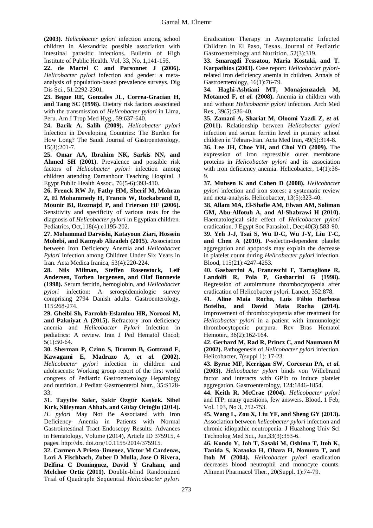**(2003).** *Helicobacter pylori* infection among school children in Alexandria: possible association with intestinal parasitic infections. Bulletin of High Institute of Public Health. Vol. 33, No. 1,141-156.

**22. de Martel C and Parsonnet J (2006).** *Helicobacter pylori* infection and gender: a metaanalysis of population-based prevalence surveys. Dig Dis Sci., 51:2292-2301.

**23. Begue RE, Gonzales JL, Correa-Gracian H, and Tang SC (1998).** Dietary risk factors associated with the transmission of *Helicobacter pylori* in Lima, Peru. Am J Trop Med Hyg., 59:637-640.

**24. Barik A. Salih (2009).** *Helicobacter pylori* Infection in Developing Countries: The Burden for How Long? The Saudi Journal of Gastroenterology, 15(3):201-7.

**25. Omar AA, Ibrahim NK, Sarkis NN, and Ahmed SH (2001).** Prevalence and possible risk factors of *Helicobacter pylori* infection among children attending Damanhour Teaching Hospital. J Egypt Public Health Assoc., 76(5-6):393-410.

**26. Frenck RW Jr, Fathy HM, Sherif M, Mohran Z, El Mohammedy H, Francis W, Rockabrand D, Mounir BI, Rozmajzl P, and Frierson HF (2006).**  Sensitivity and specificity of various tests for the diagnosis of *Helicobacter pylori* in Egyptian children. Pediatrics, Oct,118(4):e1195-202.

**27. Mohammad Darvishi, Katayoun Ziari, Hossein Mohebi, and Kamyab Alizadeh (2015).** Association between Iron Deficiency Anemia and *Helicobacter Pylori* Infection among Children Under Six Years in Iran. Acta Medica Iranica, 53(4):220-224.

**28. Nils Milman, Steffen Rosenstock, Leif Andersen, Torben Jørgensen, and Olaf Bonnevie (1998).** Serum ferritin, hemoglobin, and *Helicobacter pylori* infection: A seroepidemiologic survey comprising 2794 Danish adults. Gastroenterology, 115:268-274.

**29. Gheibi Sh, Farrokh-Eslamlou HR, Noroozi M, and Pakniyat A (2015).** Refractory iron deficiency anemia and *Helicobacter Pylori* Infection in pediatrics: A review. Iran J Ped Hematol Oncol; 5(1):50-64.

**30. Sherman P, Czinn S, Drumm B, Gottrand F, Kawagami E, Madrazo A,** *et al.* **(2002).** *Helicobacter pylori* infection in children and adolescents: Working group report of the first world congress of Pediatric Gastroenterology Hepatology and nutrition. J Pediatr Gastroenterol Nutr., 35:S128- 33.

**31. Tayyibe Saler, Şakir Özgür Keşkek, Sibel Kırk, Süleyman Ahbab, and Gülay Ortoğlu (2014).** *H. pylori* May Not Be Associated with Iron Deficiency Anemia in Patients with Normal Gastrointestinal Tract Endoscopy Results. Advances in Hematology, Volume (2014), Article ID 375915, 4 pages. http://dx. doi.org/10.1155/2014/375915.

**32. Carmen A Prieto-Jimenez, Victor M Cardenas, Lori A Fischbach, Zuber D Mulla, Jose O Rivera, Delfina C Dominguez, David Y Graham, and Melchor Ortiz (2011).** Double-blind Randomized Trial of Quadruple Sequential *Helicobacter pylori*

Eradication Therapy in Asymptomatic Infected Children in El Paso, Texas. Journal of Pediatric Gastroenterology and Nutrition, 52(3):319.

**33. Smaragdi Fessatou, Maria Kostaki, and T. Karpathios (2003).** Case report: *Helicobacter pylori*related iron deficiency anemia in children. Annals of Gastroenterology, 16(1):76-79.

**34. Haghi-Ashtiani MT, Monajemzadeh M, Motamed F,** *et al.* **(2008).** Anemia in children with and without *Helicobacter pylori* infection. Arch Med Res., 39(5):536-40.

**35. Zamani A, Shariat M, Oloomi Yazdi Z,** *et al.* **(2011).** Relationship between *Helicobacter pylori* infection and serum ferritin level in primary school children in Tehran-Iran. Acta Med Iran, 49(5):314-8.

**36. Lee JH, Choe YH, and Choi YO (2009).** The expression of iron repressible outer membrane proteins in *Helicobacter pylori* and its association with iron deficiency anemia. Helicobacter, 14(1):36- 9.

**37. Muhsen K and Cohen D (2008).** *Helicobacter pylori* infection and iron stores: a systematic review and meta-analysis. Helicobacter, 13(5):323-40.

**38. Allam MA, El-Shafie AM, Elwan AM, Soliman GM, Abu-Alfotuh A, and Al-Shabrawi H (2010).** Haematological side effect of *Helicobacter pylori* eradication. J Egypt Soc Parasitol., Dec;40(3):583-90. **39. Yeh J-J, Tsai S, Wu D-C, Wu J-Y, Liu T-C,** 

**and Chen A (2010).** P-selectin-dependent platelet aggregation and apoptosis may explain the decrease in platelet count during *Helicobacter pylori* infection. Blood, 115(21):4247-4253.

**40. Gasbarrini A, Franceschi F, Tartaglione R, Landolfi R, Pola P, Gasbarrini G (1998).** Regression of autoimmune thrombocytopenia after eradication of Helicobacter pylori. Lancet, 352:878.

**41. Aline Maia Rocha, Luís Fábio Barbosa Botelho, and David Maia Rocha (2014).** Improvement of thrombocytopenia after treatment for *Helicobacter pylori* in a patient with immunologic thrombocytopenic purpura. Rev Bras Hematol Hemoter., 36(2):162-164.

**42. Gerhard M, Rad R, Princz C, and Naumann M (2002).** Pathogenesis of *Helicobacter pylori* infection. Helicobacter, 7(suppl 1): 17-23.

**43. Byrne MF, Kerrigan SW, Corcoran PA,** *et al.* **(2003).** *Helicobacter pylori* binds von Willebrand factor and interacts with GPIb to induce platelet aggregation. Gastroenterology, 124:1846-1854.

**44. Keith R. McCrae (2004).** *Helicobacter pylori* and ITP: many questions, few answers. Blood, 1 Feb, Vol. 103, No 3, 752-753.

**45. Wang L, Zou X, Liu YF, and Sheng GY (2013).**  Association between *helicobacter pylori* infection and chronic idiopathic neutropenia. J Huazhong Univ Sci Technolog Med Sci., Jun,33(3):353-6.

**46. Kondo Y, Joh T, Sasaki M, Oshima T, Itoh K, Tanida S, Kataoka H, Ohara H, Nomura T, and Itoh M (2004).** *Helicobacter pylori* eradication decreases blood neutrophil and monocyte counts. Aliment Pharmacol Ther., 20(Suppl. 1):74-79.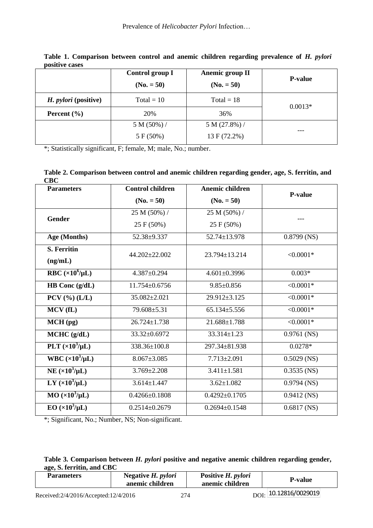|                             | Anemic group II<br>Control group I<br>$(No. = 50)$<br>$(No. = 50)$ |              | <b>P-value</b> |
|-----------------------------|--------------------------------------------------------------------|--------------|----------------|
|                             |                                                                    |              |                |
| <i>H. pylori</i> (positive) | $Total = 10$                                                       | $Total = 18$ | $0.0013*$      |
| Percent $(\% )$             | 20%                                                                | 36%          |                |
|                             | $5 M (50\%)$                                                       | 5 M (27.8%)  | ---            |
|                             | 5 F (50%)                                                          | 13 F (72.2%) |                |

Table 1. Comparison between control and anemic children regarding prevalence of *H. pylori* **positive cases**

\*; Statistically significant, F; female, M; male, No.; number.

**Table 2. Comparison between control and anemic children regarding gender, age, S. ferritin, and CBC**

| <b>Parameters</b>         | <b>Control children</b> | Anemic children     |                |
|---------------------------|-------------------------|---------------------|----------------|
|                           | $(No. = 50)$            | $(No. = 50)$        | <b>P-value</b> |
|                           | 25 M (50%) /            | 25 M (50%) /        |                |
| <b>Gender</b>             | 25 F (50%)              | 25 F (50%)          |                |
| Age (Months)              | 52.38±9.337             | 52.74±13.978        | $0.8799$ (NS)  |
| <b>S. Ferritin</b>        | 44.202±22.002           | $23.794 \pm 13.214$ | $< 0.0001*$    |
| (ng/mL)                   |                         |                     |                |
| RBC $(x10^6/\mu L)$       | 4.387±0.294             | $4.601 \pm 0.3996$  | $0.003*$       |
| HB Conc (g/dL)            | 11.754±0.6756           | $9.85 \pm 0.856$    | $< 0.0001*$    |
| $PCV$ (%) (L/L)           | 35.082±2.021            | 29.912±3.125        | $< 0.0001*$    |
| MCV(fL)                   | 79.608±5.31             | $65.134 \pm 5.556$  | $< 0.0001*$    |
| MCH (pg)                  | $26.724 \pm 1.738$      | 21.688±1.788        | $< 0.0001*$    |
| MCHC (g/dL)               | 33.32±0.6972            | 33.314±1.23         | $0.9761$ (NS)  |
| PLT $(x10^3/\mu L)$       | 338.36±100.8            | 297.34±81.938       | $0.0278*$      |
| WBC $(\times 10^3/\mu L)$ | $8.067 \pm 3.085$       | $7.713 \pm 2.091$   | $0.5029$ (NS)  |
| NE $(x10^3/\mu L)$        | $3.769 \pm 2.208$       | $3.411 \pm 1.581$   | $0.3535$ (NS)  |
| LY $(\times 10^3/\mu L)$  | $3.614 \pm 1.447$       | $3.62 \pm 1.082$    | $0.9794$ (NS)  |
| $MO (\times 10^3/\mu L)$  | $0.4266 \pm 0.1808$     | $0.4292 \pm 0.1705$ | $0.9412$ (NS)  |
| $EO(x10^3/\mu L)$         | $0.2514 \pm 0.2679$     | $0.2694 \pm 0.1548$ | $0.6817$ (NS)  |

\*; Significant, No.; Number, NS; Non-significant.

## **Table 3. Comparison between** *H. pylori* **positive and negative anemic children regarding gender, age, S. ferritin, and CBC**

| <b>Parameters</b>                    | Negative H. <i>pylori</i><br>anemic children |     | Positive H. pylori<br>anemic children | <b>P-value</b>                  |  |
|--------------------------------------|----------------------------------------------|-----|---------------------------------------|---------------------------------|--|
| Received:2/4/2016/Accepted:12/4/2016 |                                              | 274 |                                       | $_{\rm DOI}$ . 10.12816/0029019 |  |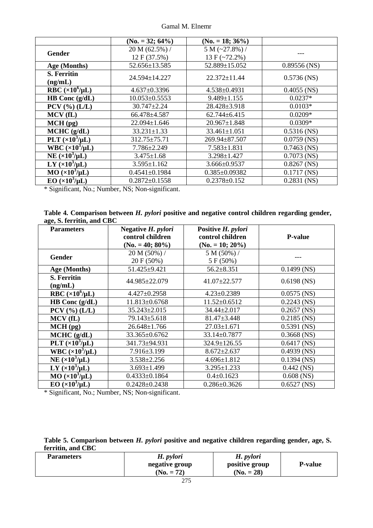|  |  | Gamal M. Elnemr |
|--|--|-----------------|
|--|--|-----------------|

|                              | $(No. = 32; 64\%)$  | $(No. = 18; 36\%)$  |                |
|------------------------------|---------------------|---------------------|----------------|
| Gender                       | 20 M (62.5%) /      | $5 M (-27.8%)$      |                |
|                              | 12 F (37.5%)        | 13 F $(-72.2\%)$    |                |
| Age (Months)                 | 52.656±13.585       | $52.889 \pm 15.052$ | $0.89556$ (NS) |
| <b>S. Ferritin</b>           | 24.594±14.227       | $22.372 \pm 11.44$  | $0.5736$ (NS)  |
| (ng/mL)                      |                     |                     |                |
| RBC $(\times 10^6/\mu L)$    | $4.637 \pm 0.3396$  | $4.538 \pm 0.4931$  | $0.4055$ (NS)  |
| HB Conc $(g/dL)$             | $10.053 \pm 0.5553$ | $9.489 \pm 1.155$   | $0.0237*$      |
| $PCV$ (%) (L/L)              | $30.747 \pm 2.24$   | 28.428±3.918        | $0.0103*$      |
| MCV(fL)                      | 66.478±4.587        | $62.744 \pm 6.415$  | $0.0209*$      |
| $MCH$ (pg)                   | 22.094±1.646        | $20.967 \pm 1.848$  | $0.0309*$      |
| MCHC (g/dL)                  | $33.231 \pm 1.33$   | $33.461 \pm 1.051$  | $0.5316$ (NS)  |
| PLT $(x10^3/\mu L)$          | $312.75 \pm 75.71$  | $269.94 \pm 87.507$ | $0.0759$ (NS)  |
| WBC $(\times 10^3/\mu L)$    | 7.786±2.249         | $7.583 \pm 1.831$   | $0.7463$ (NS)  |
| NE $(x10^3/\mu L)$           | $3.475 \pm 1.68$    | $3.298 \pm 1.427$   | $0.7073$ (NS)  |
| LY $(x10^3/\mu L)$           | $3.595 \pm 1.162$   | $3.666 \pm 0.9537$  | $0.8267$ (NS)  |
| $MO$ ( $\times 10^3/\mu L$ ) | $0.4541 \pm 0.1984$ | $0.385 \pm 0.09382$ | $0.1717$ (NS)  |
| $EO (x103/\mu L)$            | $0.2872 \pm 0.1558$ | $0.2378 \pm 0.152$  | $0.2831$ (NS)  |

\* Significant, No.; Number, NS; Non-significant.

| Table 4. Comparison between <i>H. pylori</i> positive and negative control children regarding gender, |  |  |  |
|-------------------------------------------------------------------------------------------------------|--|--|--|
| age, S. ferritin, and CBC                                                                             |  |  |  |

| <b>Parameters</b>             | Negative H. pylori<br>Positive H. pylori<br>control children<br>control children<br>$(No. = 40; 80\%)$<br>$(No. = 10; 20\%)$ |                    | <b>P-value</b> |  |
|-------------------------------|------------------------------------------------------------------------------------------------------------------------------|--------------------|----------------|--|
| Gender                        | $20 M (50\%)$ /                                                                                                              | $5 M (50\%)$       |                |  |
|                               | 20 F (50%)                                                                                                                   | 5 F(50%)           |                |  |
| Age (Months)                  | 51.425±9.421                                                                                                                 | $56.2 \pm 8.351$   | $0.1499$ (NS)  |  |
| <b>S. Ferritin</b><br>(ng/mL) | 44.985±22.079                                                                                                                | 41.07±22.577       | $0.6198$ (NS)  |  |
| RBC $(x10^6/\mu L)$           | $4.427 \pm 0.2958$                                                                                                           | $4.23 \pm 0.2389$  | $0.0575$ (NS)  |  |
| HB Conc $(g/dL)$              | 11.813±0.6768                                                                                                                | $11.52 \pm 0.6512$ | $0.2243$ (NS)  |  |
| $PCV$ (%) (L/L)               | $35.243 \pm 2.015$                                                                                                           | 34.44±2.017        | $0.2657$ (NS)  |  |
| MCV(fL)                       | 79.143±5.618                                                                                                                 | $81.47 \pm 3.448$  | $0.2185$ (NS)  |  |
| $MCH$ (pg)                    | $26.648 \pm 1.766$                                                                                                           | $27.03 \pm 1.671$  | $0.5391$ (NS)  |  |
| MCHC (g/dL)                   | 33.365±0.6762                                                                                                                | 33.14±0.7877       | $0.3668$ (NS)  |  |
| PLT $(x10^3/\mu L)$           | 341.73±94.931                                                                                                                | 324.9±126.55       | $0.6417$ (NS)  |  |
| WBC $(\times 10^3/\mu L)$     | 7.916±3.199                                                                                                                  | $8.672 \pm 2.637$  | $0.4939$ (NS)  |  |
| NE $(\times 10^3/\mu L)$      | $3.538 \pm 2.256$                                                                                                            | $4.696 \pm 1.812$  | $0.1394$ (NS)  |  |
| LY $(x10^3/\mu L)$            | $3.693 \pm 1.499$                                                                                                            | $3.295 \pm 1.233$  | $0.442$ (NS)   |  |
| $MO (x10^3/\mu L)$            | $0.4333 \pm 0.1864$                                                                                                          | $0.4 \pm 0.1623$   | $0.608$ (NS)   |  |
| $EO (x103/\mu L)$             | $0.2428 \pm 0.2438$                                                                                                          | $0.286 \pm 0.3626$ | $0.6527$ (NS)  |  |

\* Significant, No.; Number, NS; Non-significant.

| Table 5. Comparison between <i>H. pylori</i> positive and negative children regarding gender, age, S. |  |  |  |  |  |
|-------------------------------------------------------------------------------------------------------|--|--|--|--|--|
| ferritin, and CBC                                                                                     |  |  |  |  |  |

| <b>Parameters</b> | H. pylori<br>negative group<br>$(No. = 72)$ | H. pylori<br>positive group<br>$(No. = 28)$ | <b>P-value</b> |
|-------------------|---------------------------------------------|---------------------------------------------|----------------|
|                   | $\sim$ $\sim$                               |                                             |                |